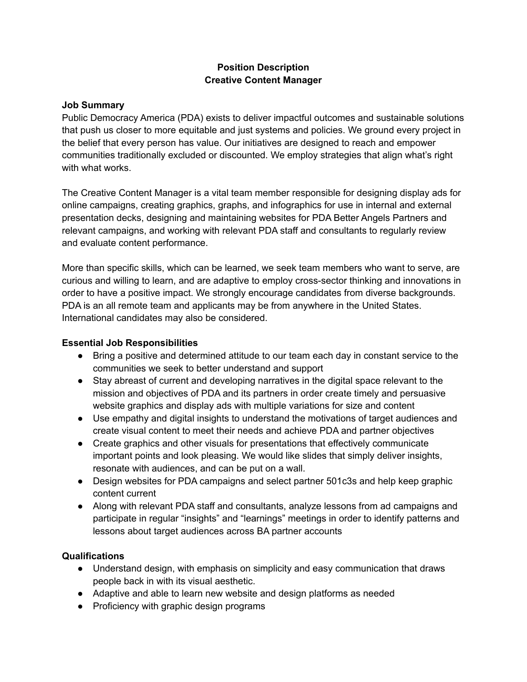## **Position Description Creative Content Manager**

## **Job Summary**

Public Democracy America (PDA) exists to deliver impactful outcomes and sustainable solutions that push us closer to more equitable and just systems and policies. We ground every project in the belief that every person has value. Our initiatives are designed to reach and empower communities traditionally excluded or discounted. We employ strategies that align what's right with what works.

The Creative Content Manager is a vital team member responsible for designing display ads for online campaigns, creating graphics, graphs, and infographics for use in internal and external presentation decks, designing and maintaining websites for PDA Better Angels Partners and relevant campaigns, and working with relevant PDA staff and consultants to regularly review and evaluate content performance.

More than specific skills, which can be learned, we seek team members who want to serve, are curious and willing to learn, and are adaptive to employ cross-sector thinking and innovations in order to have a positive impact. We strongly encourage candidates from diverse backgrounds. PDA is an all remote team and applicants may be from anywhere in the United States. International candidates may also be considered.

## **Essential Job Responsibilities**

- **●** Bring a positive and determined attitude to our team each day in constant service to the communities we seek to better understand and support
- **●** Stay abreast of current and developing narratives in the digital space relevant to the mission and objectives of PDA and its partners in order create timely and persuasive website graphics and display ads with multiple variations for size and content
- Use empathy and digital insights to understand the motivations of target audiences and create visual content to meet their needs and achieve PDA and partner objectives
- Create graphics and other visuals for presentations that effectively communicate important points and look pleasing. We would like slides that simply deliver insights, resonate with audiences, and can be put on a wall.
- Design websites for PDA campaigns and select partner 501c3s and help keep graphic content current
- Along with relevant PDA staff and consultants, analyze lessons from ad campaigns and participate in regular "insights" and "learnings" meetings in order to identify patterns and lessons about target audiences across BA partner accounts

## **Qualifications**

- Understand design, with emphasis on simplicity and easy communication that draws people back in with its visual aesthetic.
- Adaptive and able to learn new website and design platforms as needed
- Proficiency with graphic design programs